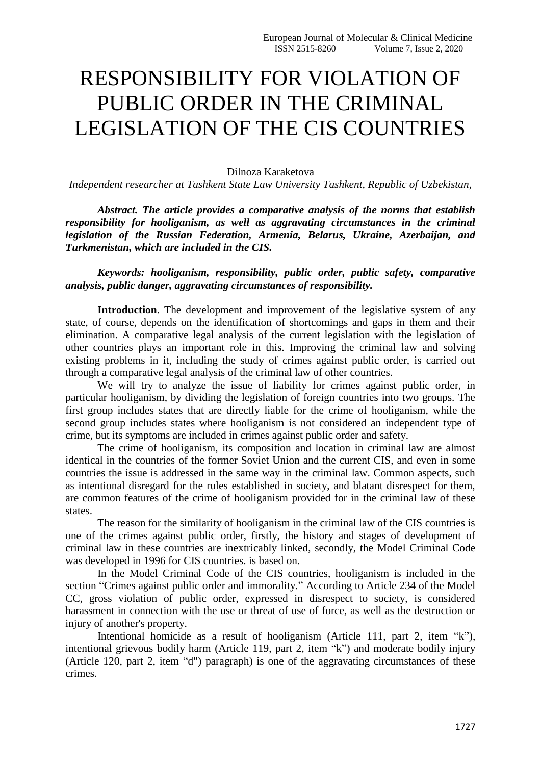## RESPONSIBILITY FOR VIOLATION OF PUBLIC ORDER IN THE CRIMINAL LEGISLATION OF THE CIS COUNTRIES

## Dilnoza Karaketova

*Independent researcher at Tashkent State Law University Tashkent, Republic of Uzbekistan,*

*Abstract. The article provides a comparative analysis of the norms that establish responsibility for hooliganism, as well as aggravating circumstances in the criminal legislation of the Russian Federation, Armenia, Belarus, Ukraine, Azerbaijan, and Turkmenistan, which are included in the CIS.*

*Keywords: hooliganism, responsibility, public order, public safety, comparative analysis, public danger, aggravating circumstances of responsibility.*

**Introduction**. The development and improvement of the legislative system of any state, of course, depends on the identification of shortcomings and gaps in them and their elimination. A comparative legal analysis of the current legislation with the legislation of other countries plays an important role in this. Improving the criminal law and solving existing problems in it, including the study of crimes against public order, is carried out through a comparative legal analysis of the criminal law of other countries.

We will try to analyze the issue of liability for crimes against public order, in particular hooliganism, by dividing the legislation of foreign countries into two groups. The first group includes states that are directly liable for the crime of hooliganism, while the second group includes states where hooliganism is not considered an independent type of crime, but its symptoms are included in crimes against public order and safety.

The crime of hooliganism, its composition and location in criminal law are almost identical in the countries of the former Soviet Union and the current CIS, and even in some countries the issue is addressed in the same way in the criminal law. Common aspects, such as intentional disregard for the rules established in society, and blatant disrespect for them, are common features of the crime of hooliganism provided for in the criminal law of these states.

The reason for the similarity of hooliganism in the criminal law of the CIS countries is one of the crimes against public order, firstly, the history and stages of development of criminal law in these countries are inextricably linked, secondly, the Model Criminal Code was developed in 1996 for CIS countries. is based on.

In the Model Criminal Code of the CIS countries, hooliganism is included in the section "Crimes against public order and immorality." According to Article 234 of the Model CC, gross violation of public order, expressed in disrespect to society, is considered harassment in connection with the use or threat of use of force, as well as the destruction or injury of another's property.

Intentional homicide as a result of hooliganism (Article 111, part 2, item "k"), intentional grievous bodily harm (Article 119, part 2, item "k") and moderate bodily injury (Article 120, part 2, item "d") paragraph) is one of the aggravating circumstances of these crimes.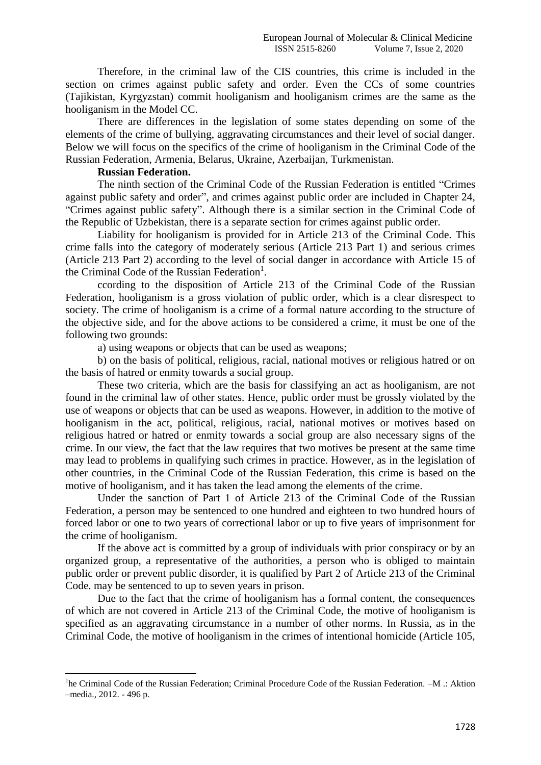Therefore, in the criminal law of the CIS countries, this crime is included in the section on crimes against public safety and order. Even the CCs of some countries (Tajikistan, Kyrgyzstan) commit hooliganism and hooliganism crimes are the same as the hooliganism in the Model CC.

There are differences in the legislation of some states depending on some of the elements of the crime of bullying, aggravating circumstances and their level of social danger. Below we will focus on the specifics of the crime of hooliganism in the Criminal Code of the Russian Federation, Armenia, Belarus, Ukraine, Azerbaijan, Turkmenistan.

## **Russian Federation.**

The ninth section of the Criminal Code of the Russian Federation is entitled "Crimes against public safety and order", and crimes against public order are included in Chapter 24, "Crimes against public safety". Although there is a similar section in the Criminal Code of the Republic of Uzbekistan, there is a separate section for crimes against public order.

Liability for hooliganism is provided for in Article 213 of the Criminal Code. This crime falls into the category of moderately serious (Article 213 Part 1) and serious crimes (Article 213 Part 2) according to the level of social danger in accordance with Article 15 of the Criminal Code of the Russian Federation<sup>1</sup>.

ccording to the disposition of Article 213 of the Criminal Code of the Russian Federation, hooliganism is a gross violation of public order, which is a clear disrespect to society. The crime of hooliganism is a crime of a formal nature according to the structure of the objective side, and for the above actions to be considered a crime, it must be one of the following two grounds:

a) using weapons or objects that can be used as weapons;

b) on the basis of political, religious, racial, national motives or religious hatred or on the basis of hatred or enmity towards a social group.

These two criteria, which are the basis for classifying an act as hooliganism, are not found in the criminal law of other states. Hence, public order must be grossly violated by the use of weapons or objects that can be used as weapons. However, in addition to the motive of hooliganism in the act, political, religious, racial, national motives or motives based on religious hatred or hatred or enmity towards a social group are also necessary signs of the crime. In our view, the fact that the law requires that two motives be present at the same time may lead to problems in qualifying such crimes in practice. However, as in the legislation of other countries, in the Criminal Code of the Russian Federation, this crime is based on the motive of hooliganism, and it has taken the lead among the elements of the crime.

Under the sanction of Part 1 of Article 213 of the Criminal Code of the Russian Federation, a person may be sentenced to one hundred and eighteen to two hundred hours of forced labor or one to two years of correctional labor or up to five years of imprisonment for the crime of hooliganism.

If the above act is committed by a group of individuals with prior conspiracy or by an organized group, a representative of the authorities, a person who is obliged to maintain public order or prevent public disorder, it is qualified by Part 2 of Article 213 of the Criminal Code. may be sentenced to up to seven years in prison.

Due to the fact that the crime of hooliganism has a formal content, the consequences of which are not covered in Article 213 of the Criminal Code, the motive of hooliganism is specified as an aggravating circumstance in a number of other norms. In Russia, as in the Criminal Code, the motive of hooliganism in the crimes of intentional homicide (Article 105,

**<sup>.</sup>** <sup>1</sup>he Criminal Code of the Russian Federation; Criminal Procedure Code of the Russian Federation. -M .: Aktion –media., 2012. - 496 p.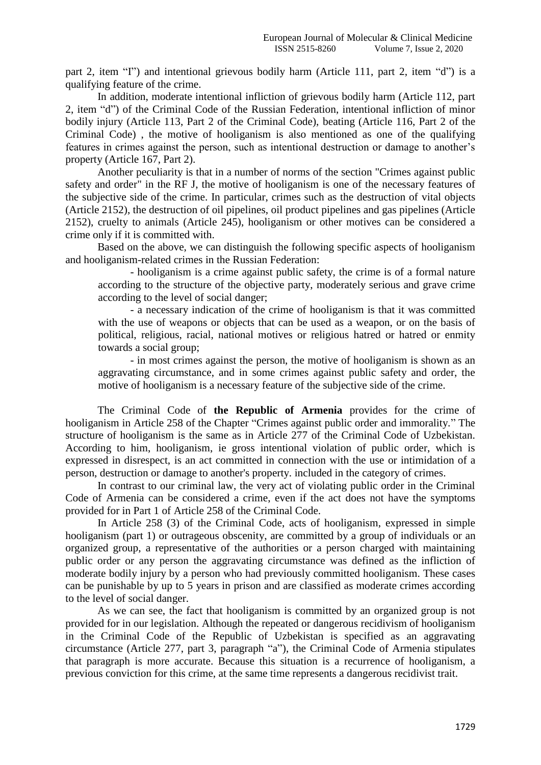part 2, item "I") and intentional grievous bodily harm (Article 111, part 2, item "d") is a qualifying feature of the crime.

In addition, moderate intentional infliction of grievous bodily harm (Article 112, part 2, item "d") of the Criminal Code of the Russian Federation, intentional infliction of minor bodily injury (Article 113, Part 2 of the Criminal Code), beating (Article 116, Part 2 of the Criminal Code) , the motive of hooliganism is also mentioned as one of the qualifying features in crimes against the person, such as intentional destruction or damage to another's property (Article 167, Part 2).

Another peculiarity is that in a number of norms of the section "Crimes against public safety and order" in the RF J, the motive of hooliganism is one of the necessary features of the subjective side of the crime. In particular, crimes such as the destruction of vital objects (Article 2152), the destruction of oil pipelines, oil product pipelines and gas pipelines (Article 2152), cruelty to animals (Article 245), hooliganism or other motives can be considered a crime only if it is committed with.

Based on the above, we can distinguish the following specific aspects of hooliganism and hooliganism-related crimes in the Russian Federation:

- hooliganism is a crime against public safety, the crime is of a formal nature according to the structure of the objective party, moderately serious and grave crime according to the level of social danger;

- a necessary indication of the crime of hooliganism is that it was committed with the use of weapons or objects that can be used as a weapon, or on the basis of political, religious, racial, national motives or religious hatred or hatred or enmity towards a social group;

- in most crimes against the person, the motive of hooliganism is shown as an aggravating circumstance, and in some crimes against public safety and order, the motive of hooliganism is a necessary feature of the subjective side of the crime.

The Criminal Code of **the Republic of Armenia** provides for the crime of hooliganism in Article 258 of the Chapter "Crimes against public order and immorality." The structure of hooliganism is the same as in Article 277 of the Criminal Code of Uzbekistan. According to him, hooliganism, ie gross intentional violation of public order, which is expressed in disrespect, is an act committed in connection with the use or intimidation of a person, destruction or damage to another's property. included in the category of crimes.

In contrast to our criminal law, the very act of violating public order in the Criminal Code of Armenia can be considered a crime, even if the act does not have the symptoms provided for in Part 1 of Article 258 of the Criminal Code.

In Article 258 (3) of the Criminal Code, acts of hooliganism, expressed in simple hooliganism (part 1) or outrageous obscenity, are committed by a group of individuals or an organized group, a representative of the authorities or a person charged with maintaining public order or any person the aggravating circumstance was defined as the infliction of moderate bodily injury by a person who had previously committed hooliganism. These cases can be punishable by up to 5 years in prison and are classified as moderate crimes according to the level of social danger.

As we can see, the fact that hooliganism is committed by an organized group is not provided for in our legislation. Although the repeated or dangerous recidivism of hooliganism in the Criminal Code of the Republic of Uzbekistan is specified as an aggravating circumstance (Article 277, part 3, paragraph "a"), the Criminal Code of Armenia stipulates that paragraph is more accurate. Because this situation is a recurrence of hooliganism, a previous conviction for this crime, at the same time represents a dangerous recidivist trait.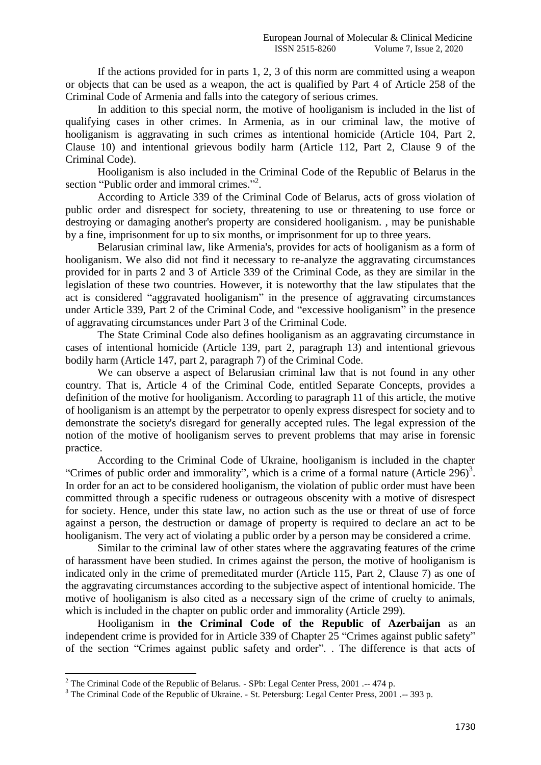If the actions provided for in parts 1, 2, 3 of this norm are committed using a weapon or objects that can be used as a weapon, the act is qualified by Part 4 of Article 258 of the Criminal Code of Armenia and falls into the category of serious crimes.

In addition to this special norm, the motive of hooliganism is included in the list of qualifying cases in other crimes. In Armenia, as in our criminal law, the motive of hooliganism is aggravating in such crimes as intentional homicide (Article 104, Part 2, Clause 10) and intentional grievous bodily harm (Article 112, Part 2, Clause 9 of the Criminal Code).

Hooliganism is also included in the Criminal Code of the Republic of Belarus in the section "Public order and immoral crimes."<sup>2</sup>.

According to Article 339 of the Criminal Code of Belarus, acts of gross violation of public order and disrespect for society, threatening to use or threatening to use force or destroying or damaging another's property are considered hooliganism. , may be punishable by a fine, imprisonment for up to six months, or imprisonment for up to three years.

Belarusian criminal law, like Armenia's, provides for acts of hooliganism as a form of hooliganism. We also did not find it necessary to re-analyze the aggravating circumstances provided for in parts 2 and 3 of Article 339 of the Criminal Code, as they are similar in the legislation of these two countries. However, it is noteworthy that the law stipulates that the act is considered "aggravated hooliganism" in the presence of aggravating circumstances under Article 339, Part 2 of the Criminal Code, and "excessive hooliganism" in the presence of aggravating circumstances under Part 3 of the Criminal Code.

The State Criminal Code also defines hooliganism as an aggravating circumstance in cases of intentional homicide (Article 139, part 2, paragraph 13) and intentional grievous bodily harm (Article 147, part 2, paragraph 7) of the Criminal Code.

We can observe a aspect of Belarusian criminal law that is not found in any other country. That is, Article 4 of the Criminal Code, entitled Separate Concepts, provides a definition of the motive for hooliganism. According to paragraph 11 of this article, the motive of hooliganism is an attempt by the perpetrator to openly express disrespect for society and to demonstrate the society's disregard for generally accepted rules. The legal expression of the notion of the motive of hooliganism serves to prevent problems that may arise in forensic practice.

According to the Criminal Code of Ukraine, hooliganism is included in the chapter "Crimes of public order and immorality", which is a crime of a formal nature (Article  $296$ )<sup>3</sup>. In order for an act to be considered hooliganism, the violation of public order must have been committed through a specific rudeness or outrageous obscenity with a motive of disrespect for society. Hence, under this state law, no action such as the use or threat of use of force against a person, the destruction or damage of property is required to declare an act to be hooliganism. The very act of violating a public order by a person may be considered a crime.

Similar to the criminal law of other states where the aggravating features of the crime of harassment have been studied. In crimes against the person, the motive of hooliganism is indicated only in the crime of premeditated murder (Article 115, Part 2, Clause 7) as one of the aggravating circumstances according to the subjective aspect of intentional homicide. The motive of hooliganism is also cited as a necessary sign of the crime of cruelty to animals, which is included in the chapter on public order and immorality (Article 299).

Hooliganism in **the Criminal Code of the Republic of Azerbaijan** as an independent crime is provided for in Article 339 of Chapter 25 "Crimes against public safety" of the section "Crimes against public safety and order". . The difference is that acts of

**.** 

<sup>&</sup>lt;sup>2</sup> The Criminal Code of the Republic of Belarus. - SPb: Legal Center Press, 2001 .-- 474 p.

<sup>&</sup>lt;sup>3</sup> The Criminal Code of the Republic of Ukraine. - St. Petersburg: Legal Center Press, 2001 .-- 393 p.